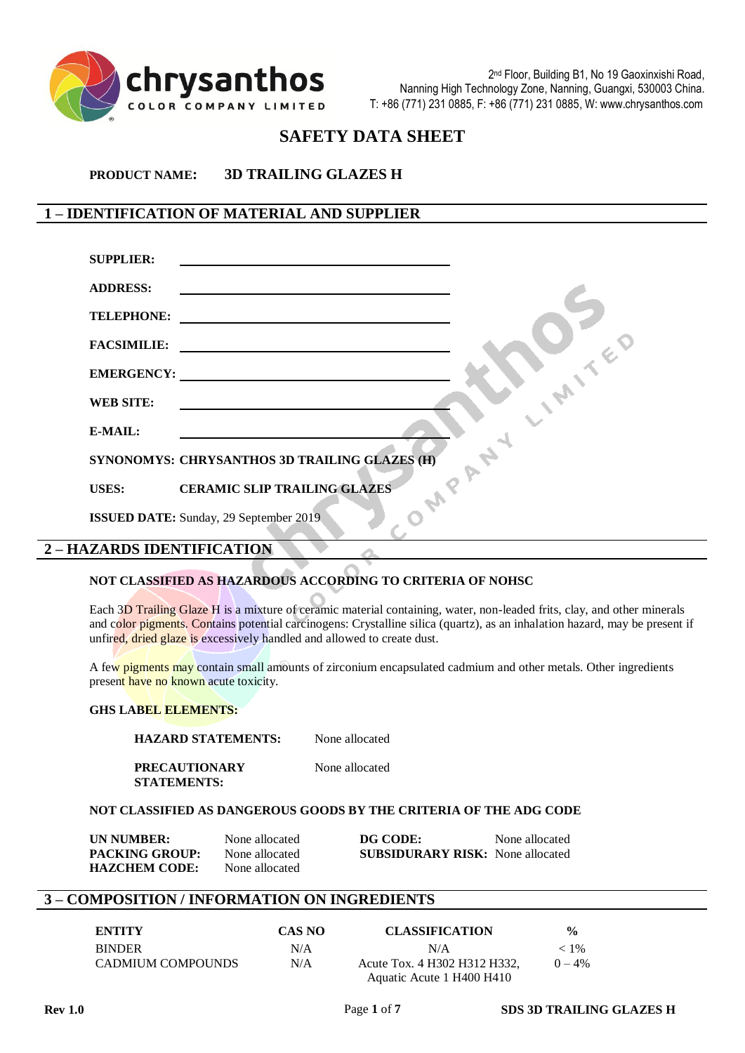

# **SAFETY DATA SHEET**

**PRODUCT NAME: 3D TRAILING GLAZES H**

# **1 – IDENTIFICATION OF MATERIAL AND SUPPLIER**

| <b>SUPPLIER:</b>                  | <u> 1989 - Johann Johann Harry Harry Harry Harry Harry Harry Harry Harry Harry Harry Harry Harry Harry Harry Harry Harry Harry Harry Harry Harry Harry Harry Harry Harry Harry Harry Harry Harry Harry Harry Harry Harry Harry H</u> |
|-----------------------------------|--------------------------------------------------------------------------------------------------------------------------------------------------------------------------------------------------------------------------------------|
| <b>ADDRESS:</b>                   |                                                                                                                                                                                                                                      |
| <b>TELEPHONE:</b>                 |                                                                                                                                                                                                                                      |
| <b>FACSIMILIE:</b>                | <u>and the contract of the contract of the contract of the contract of the contract of the contract of the contract of the contract of the contract of the contract of the contract of the contract of the contract of the contr</u> |
|                                   | EMERGENCY: New York CONSTRUCT OF THE CONSTRUCT OF THE CONSTRUCT OF THE CONSTRUCT OF THE CONSTRUCT OF THE CONSTRUCT OF THE CONSTRUCT OF THE CONSTRUCT OF THE CONSTRUCT OF THE CONSTRUCT OF THE CONSTRUCT OF THE CONSTRUCT OF TH       |
| <b>WEB SITE:</b>                  |                                                                                                                                                                                                                                      |
| E-MAIL:                           |                                                                                                                                                                                                                                      |
|                                   | SYNONOMYS: CHRYSANTHOS 3D TRAILING GLAZES (H)                                                                                                                                                                                        |
| <b>USES:</b>                      | <b>CERAMIC SLIP TRAILING GLAZES</b>                                                                                                                                                                                                  |
|                                   | <b>ISSUED DATE:</b> Sunday, 29 September 2019                                                                                                                                                                                        |
| <b>2 - HAZARDS IDENTIFICATION</b> |                                                                                                                                                                                                                                      |

#### **NOT CLASSIFIED AS HAZARDOUS ACCORDING TO CRITERIA OF NOHSC**

Each 3D Trailing Glaze H is a mixture of ceramic material containing, water, non-leaded frits, clay, and other minerals and color pigments. Contains potential carcinogens: Crystalline silica (quartz), as an inhalation hazard, may be present if unfired, dried glaze is excessively handled and allowed to create dust.

A few pigments may contain small amounts of zirconium encapsulated cadmium and other metals. Other ingredients present have no known acute toxicity.

#### **GHS LABEL ELEMENTS:**

**HAZARD STATEMENTS:** None allocated

**PRECAUTIONARY** None allocated **STATEMENTS:**

#### **NOT CLASSIFIED AS DANGEROUS GOODS BY THE CRITERIA OF THE ADG CODE**

| <b>UN NUMBER:</b>     | None allocated | DG CODE:                                | None allocated |
|-----------------------|----------------|-----------------------------------------|----------------|
| <b>PACKING GROUP:</b> | None allocated | <b>SUBSIDURARY RISK:</b> None allocated |                |
| <b>HAZCHEM CODE:</b>  | None allocated |                                         |                |

#### **3 – COMPOSITION / INFORMATION ON INGREDIENTS**

| <b>ENTITY</b>     | CAS NO | <b>CLASSIFICATION</b>        | $\frac{0}{0}$ |
|-------------------|--------|------------------------------|---------------|
| <b>BINDER</b>     | N/A    | N/A                          | $< 1\%$       |
| CADMIUM COMPOUNDS | N/A    | Acute Tox. 4 H302 H312 H332, | $() - 4\%$    |
|                   |        | Aquatic Acute 1 H400 H410    |               |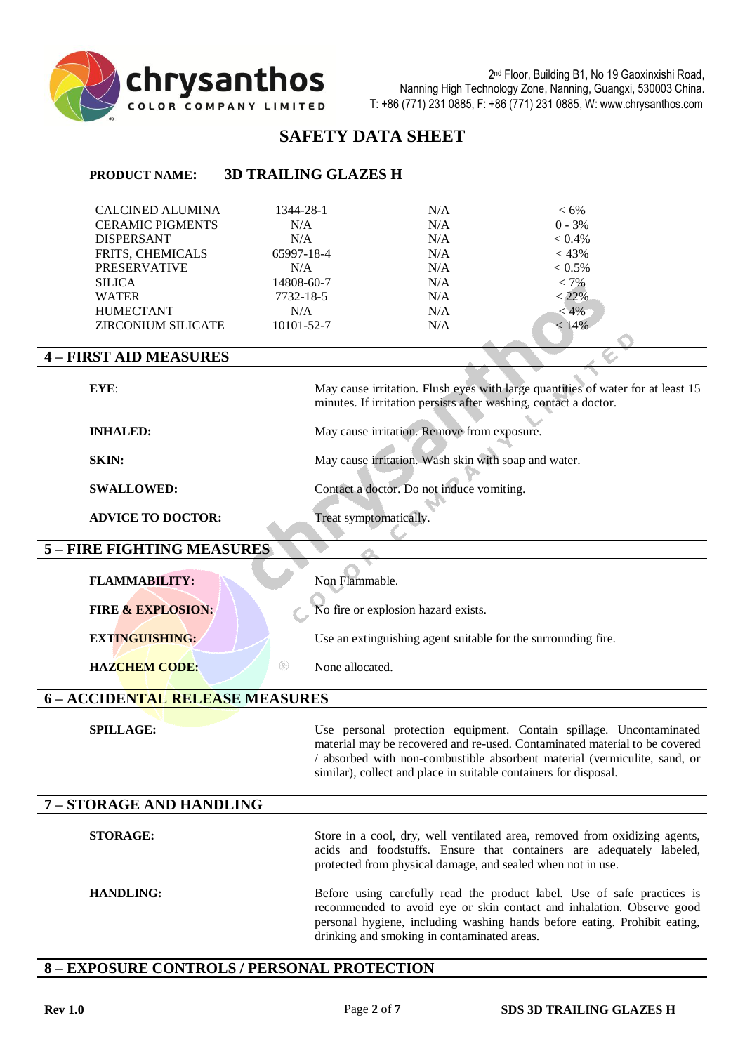

# **SAFETY DATA SHEET**

# **PRODUCT NAME: 3D TRAILING GLAZES H**

| <b>CALCINED ALUMINA</b><br><b>CERAMIC PIGMENTS</b> | 1344-28-1<br>N/A | N/A<br>N/A | $<6\%$<br>$0 - 3%$ |
|----------------------------------------------------|------------------|------------|--------------------|
| <b>DISPERSANT</b>                                  | N/A              | N/A        | $< 0.4\%$          |
| <b>FRITS, CHEMICALS</b>                            | 65997-18-4       | N/A        | $< 43\%$           |
| <b>PRESERVATIVE</b>                                | N/A              | N/A        | $< 0.5\%$          |
| <b>SILICA</b>                                      | 14808-60-7       | N/A        | $< 7\%$            |
| <b>WATER</b>                                       | 7732-18-5        | N/A        | $< 22\%$           |
| <b>HUMECTANT</b>                                   | N/A              | N/A        | $< 4\%$            |
| <b>ZIRCONIUM SILICATE</b>                          | 10101-52-7       | N/A        | $< 14\%$           |

#### **4 – FIRST AID MEASURES**

| EYE:                                   | May cause irritation. Flush eyes with large quantities of water for at least 15<br>minutes. If irritation persists after washing, contact a doctor.                                                                                                                                                |
|----------------------------------------|----------------------------------------------------------------------------------------------------------------------------------------------------------------------------------------------------------------------------------------------------------------------------------------------------|
| <b>INHALED:</b>                        | May cause irritation. Remove from exposure.                                                                                                                                                                                                                                                        |
| <b>SKIN:</b>                           | May cause irritation. Wash skin with soap and water.                                                                                                                                                                                                                                               |
| <b>SWALLOWED:</b>                      | Contact a doctor. Do not induce vomiting.                                                                                                                                                                                                                                                          |
| <b>ADVICE TO DOCTOR:</b>               | Treat symptomatically.                                                                                                                                                                                                                                                                             |
| 5 - FIRE FIGHTING MEASURES             |                                                                                                                                                                                                                                                                                                    |
| <b>FLAMMABILITY:</b>                   | Non Flammable.                                                                                                                                                                                                                                                                                     |
| <b>FIRE &amp; EXPLOSION:</b>           | No fire or explosion hazard exists.                                                                                                                                                                                                                                                                |
| <b>EXTINGUISHING:</b>                  | Use an extinguishing agent suitable for the surrounding fire.                                                                                                                                                                                                                                      |
| $^{\circledR}$<br><b>HAZCHEM CODE:</b> | None allocated.                                                                                                                                                                                                                                                                                    |
| 6 - ACCIDENTAL RELEASE MEASURES        |                                                                                                                                                                                                                                                                                                    |
| <b>SPILLAGE:</b>                       | Use personal protection equipment. Contain spillage. Uncontaminated<br>material may be recovered and re-used. Contaminated material to be covered<br>/ absorbed with non-combustible absorbent material (vermiculite, sand, or<br>similar), collect and place in suitable containers for disposal. |
| 7 - STORAGE AND HANDLING               |                                                                                                                                                                                                                                                                                                    |
| <b>STORAGE:</b>                        | Store in a cool, dry, well ventilated area, removed from oxidizing agents,<br>acids and foodstuffs. Ensure that containers are adequately labeled,<br>protected from physical damage, and sealed when not in use.                                                                                  |
| <b>HANDLING:</b>                       | Before using carefully read the product label. Use of safe practices is<br>recommended to avoid eye or skin contact and inhalation. Observe good<br>personal hygiene, including washing hands before eating. Prohibit eating,<br>drinking and smoking in contaminated areas.                       |

# **8 – EXPOSURE CONTROLS / PERSONAL PROTECTION**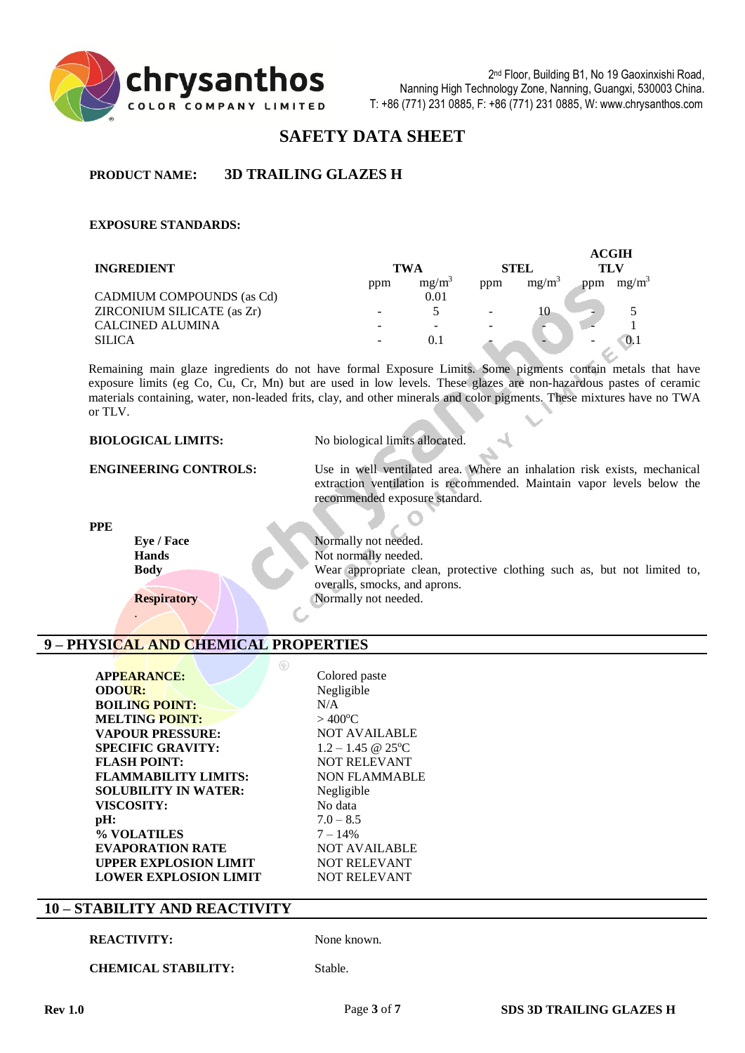

# **SAFETY DATA SHEET**

# **PRODUCT NAME: 3D TRAILING GLAZES H**

#### **EXPOSURE STANDARDS:**

|                            |     |                   |             |                   |     | ACGIH             |
|----------------------------|-----|-------------------|-------------|-------------------|-----|-------------------|
| <b>INGREDIENT</b>          | TWA |                   | <b>STEL</b> |                   | TLV |                   |
|                            | ppm | mg/m <sup>3</sup> | ppm         | mg/m <sup>3</sup> | ppm | mg/m <sup>3</sup> |
| CADMIUM COMPOUNDS (as Cd)  |     | 0.01              |             |                   |     |                   |
| ZIRCONIUM SILICATE (as Zr) |     |                   |             | 10                |     |                   |
| <b>CALCINED ALUMINA</b>    |     |                   |             |                   |     |                   |
| <b>SILICA</b>              |     | 0.1               |             |                   |     | 0.1               |

Remaining main glaze ingredients do not have formal Exposure Limits. Some pigments contain metals that have exposure limits (eg Co, Cu, Cr, Mn) but are used in low levels. These glazes are non-hazardous pastes of ceramic materials containing, water, non-leaded frits, clay, and other minerals and color pigments. These mixtures have no TWA or TLV.

| <b>BIOLOGICAL LIMITS:</b>    | No biological limits allocated.                                                                                                                                                      |  |  |
|------------------------------|--------------------------------------------------------------------------------------------------------------------------------------------------------------------------------------|--|--|
| <b>ENGINEERING CONTROLS:</b> | Use in well ventilated area. Where an inhalation risk exists, mechanical<br>extraction ventilation is recommended. Maintain vapor levels below the<br>recommended exposure standard. |  |  |
| <b>PPE</b>                   |                                                                                                                                                                                      |  |  |
| Eye / Face                   | Normally not needed.                                                                                                                                                                 |  |  |
| <b>Hands</b>                 | Not normally needed.                                                                                                                                                                 |  |  |
| <b>Body</b>                  | Wear appropriate clean, protective clothing such as, but not limited to,                                                                                                             |  |  |
|                              | overalls, smocks, and aprons.                                                                                                                                                        |  |  |
| <b>Respiratory</b>           | Normally not needed.                                                                                                                                                                 |  |  |

# **9 – PHYSICAL AND CHEMICAL PROPERTIES**

| <b>APPEARANCE:</b>           | Cok             |
|------------------------------|-----------------|
| <b>ODOUR:</b>                | Neg             |
| <b>BOILING POINT:</b>        | N/A             |
| <b>MELTING POINT:</b>        | >40             |
| <b>VAPOUR PRESSURE:</b>      | NO.             |
| <b>SPECIFIC GRAVITY:</b>     | $1.2 -$         |
| <b>FLASH POINT:</b>          | NO.             |
| <b>FLAMMABILITY LIMITS:</b>  | <b>NO</b>       |
| <b>SOLUBILITY IN WATER:</b>  | Neg             |
| <b>VISCOSITY:</b>            | No <sub>0</sub> |
| pH:                          | $7.0 -$         |
| % VOLATILES                  | $7 -$           |
| <b>EVAPORATION RATE</b>      | NOT             |
| <b>UPPER EXPLOSION LIMIT</b> | NOT             |
| <b>LOWER EXPLOSION LIMIT</b> | NOT             |

Colored paste **ODOUR:** Negligible  $>$  400 $^{\circ}$ C **NOT AVAILABLE SPECIFIC GRAVITY:** 1.2 – 1.45 @ 25<sup>o</sup>C **NOT RELEVANT NON FLAMMABLE Negligible** No data **pH:** 7.0 – 8.5 **% VOLATILES** 7 – 14% **NOT AVAILABLE NOT RELEVANT NOT RELEVANT** 

# **10 – STABILITY AND REACTIVITY**

#### **REACTIVITY:** None known.

.

**CHEMICAL STABILITY:** Stable.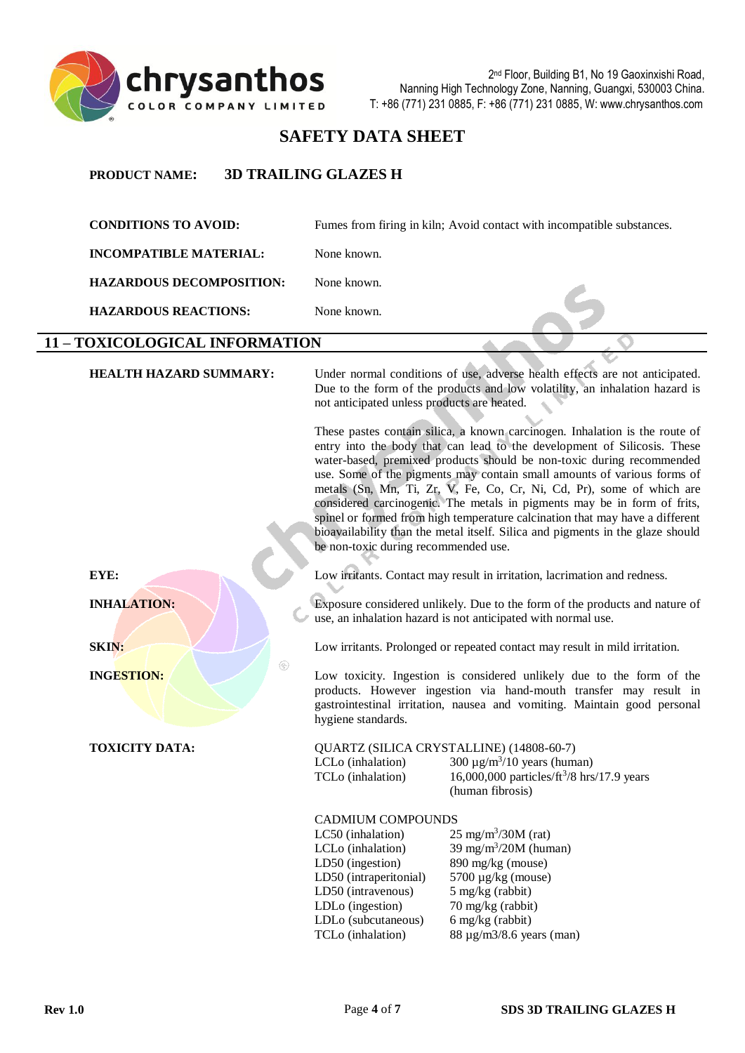

# **SAFETY DATA SHEET**

# **PRODUCT NAME: 3D TRAILING GLAZES H**

**CONDITIONS TO AVOID:** Fumes from firing in kiln; Avoid contact with incompatible substances. **INCOMPATIBLE MATERIAL:** None known. **HAZARDOUS DECOMPOSITION:** None known. **HAZARDOUS REACTIONS:** None known. **11 – TOXICOLOGICAL INFORMATION HEALTH HAZARD SUMMARY:** Under normal conditions of use, adverse health effects are not anticipated. Due to the form of the products and low volatility, an inhalation hazard is not anticipated unless products are heated. These pastes contain silica, a known carcinogen. Inhalation is the route of entry into the body that can lead to the development of Silicosis. These water-based, premixed products should be non-toxic during recommended use. Some of the pigments may contain small amounts of various forms of metals (Sn, Mn, Ti, Zr, V, Fe, Co, Cr, Ni, Cd, Pr), some of which are considered carcinogenic. The metals in pigments may be in form of frits, spinel or formed from high temperature calcination that may have a different bioavailability than the metal itself. Silica and pigments in the glaze should be non-toxic during recommended use. **EYE:** Low irritants. Contact may result in irritation, lacrimation and redness. **INHALATION:** Exposure considered unlikely. Due to the form of the products and nature of use, an inhalation hazard is not anticipated with normal use. **SKIN:** Low irritants. Prolonged or repeated contact may result in mild irritation. **INGESTION:** Low toxicity. Ingestion is considered unlikely due to the form of the products. However ingestion via hand-mouth transfer may result in gastrointestinal irritation, nausea and vomiting. Maintain good personal hygiene standards. **TOXICITY DATA:** QUARTZ (SILICA CRYSTALLINE) (14808-60-7)  $LCLo$  (inhalation) 300  $\mu$ g/m<sup>3</sup>/10 years (human) TCLo (inhalation)  $16,000,000$  particles/ $\text{ft}^3\text{/}8$  hrs/17.9 years (human fibrosis) CADMIUM COMPOUNDS  $LC50$  (inhalation)  $25 \text{ mg/m}^3 / 30 \text{M}$  (rat) LCL<sub>o</sub> (inhalation) 39 mg/m<sup>3</sup>/20M (human) LD50 (ingestion) 890 mg/kg (mouse) LD50 (intraperitonial) 5700 µg/kg (mouse) LD50 (intravenous) 5 mg/kg (rabbit) LDLo (ingestion) 70 mg/kg (rabbit) LDLo (subcutaneous) 6 mg/kg (rabbit) TCLo (inhalation) 88 µg/m3/8.6 years (man)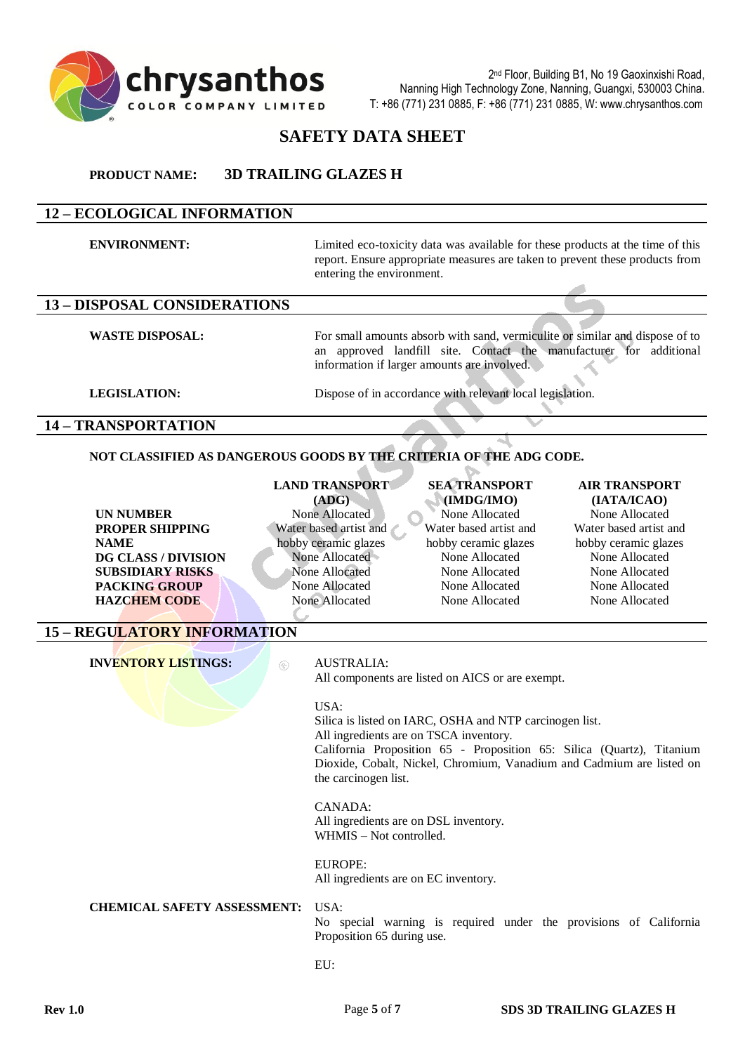

# **SAFETY DATA SHEET**

#### **PRODUCT NAME: 3D TRAILING GLAZES H**

# **12 – ECOLOGICAL INFORMATION**

**ENVIRONMENT:** Limited eco-toxicity data was available for these products at the time of this report. Ensure appropriate measures are taken to prevent these products from entering the environment. **13 – DISPOSAL CONSIDERATIONS WASTE DISPOSAL:** For small amounts absorb with sand, vermiculite or similar and dispose of to an approved landfill site. Contact the manufacturer for additional information if larger amounts are involved.

**LEGISLATION:** Dispose of in accordance with relevant local legislation.

#### **14 – TRANSPORTATION**

#### **NOT CLASSIFIED AS DANGEROUS GOODS BY THE CRITERIA OF THE ADG CODE.**

**UN NUMBER** None Allocated None Allocated None Allocated None Allocated None Allocated None Allocated **PROPER SHIPPING NAME DG CLASS / DIVISION** None Allocated None Allocated None Allocated None Allocated **SUBSIDIARY RISKS** None Allocated None Allocated None Allocated None Allocated None Allocated **PACKING GROUP** None Allocated None Allocated None Allocated None Allocated **HAZCHEM CODE** None Allocated None Allocated None Allocated None Allocated

# **LAND TRANSPORT**

**(ADG)** Water based artist and hobby ceramic glazes

# **SEA TRANSPORT (IMDG/IMO)** Water based artist and hobby ceramic glazes

# **AIR TRANSPORT (IATA/ICAO)**

Water based artist and hobby ceramic glazes

# **15 – REGULATORY INFORMATION**

**INVENTORY LISTINGS:**  $\otimes$  AUSTRALIA:

All components are listed on AICS or are exempt.

#### USA:

Silica is listed on IARC, OSHA and NTP carcinogen list. All ingredients are on TSCA inventory. California Proposition 65 - Proposition 65: Silica (Quartz), Titanium Dioxide, Cobalt, Nickel, Chromium, Vanadium and Cadmium are listed on the carcinogen list.

#### CANADA:

All ingredients are on DSL inventory. WHMIS – Not controlled.

#### EUROPE:

All ingredients are on EC inventory.

#### **CHEMICAL SAFETY ASSESSMENT:** USA:

No special warning is required under the provisions of California Proposition 65 during use.

#### EU: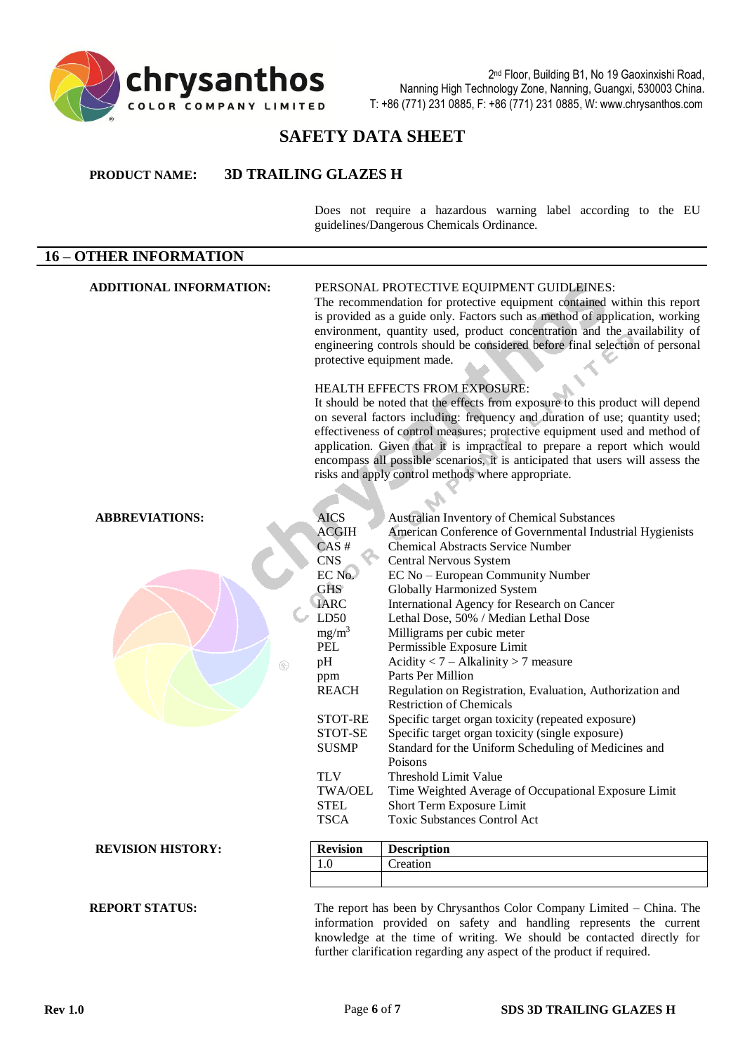

# **SAFETY DATA SHEET**

#### **PRODUCT NAME: 3D TRAILING GLAZES H**

Does not require a hazardous warning label according to the EU guidelines/Dangerous Chemicals Ordinance.

# **16 – OTHER INFORMATION ADDITIONAL INFORMATION:** PERSONAL PROTECTIVE EQUIPMENT GUIDLEINES: The recommendation for protective equipment contained within this report is provided as a guide only. Factors such as method of application, working environment, quantity used, product concentration and the availability of engineering controls should be considered before final selection of personal protective equipment made.

#### HEALTH EFFECTS FROM EXPOSURE:

It should be noted that the effects from exposure to this product will depend on several factors including: frequency and duration of use; quantity used; effectiveness of control measures; protective equipment used and method of application. Given that it is impractical to prepare a report which would encompass all possible scenarios, it is anticipated that users will assess the risks and apply control methods where appropriate.

| <b>ABBREVIATIONS:</b>    | <b>AICS</b>     | <b>Australian Inventory of Chemical Substances</b>        |
|--------------------------|-----------------|-----------------------------------------------------------|
|                          | <b>ACGIH</b>    | American Conference of Governmental Industrial Hygienists |
|                          | $CAS$ #         | <b>Chemical Abstracts Service Number</b>                  |
|                          | <b>CNS</b>      | Central Nervous System                                    |
|                          | EC No.          | EC No - European Community Number                         |
|                          | <b>GHS</b>      | <b>Globally Harmonized System</b>                         |
|                          | <b>IARC</b>     | International Agency for Research on Cancer               |
|                          | LD50            | Lethal Dose, 50% / Median Lethal Dose                     |
|                          | $mg/m^3$        | Milligrams per cubic meter                                |
|                          | PEL             | Permissible Exposure Limit                                |
| $\circledR$              | pH              | Acidity $< 7 - Alkalinity > 7$ measure                    |
|                          | ppm             | Parts Per Million                                         |
|                          | <b>REACH</b>    | Regulation on Registration, Evaluation, Authorization and |
|                          |                 | <b>Restriction of Chemicals</b>                           |
|                          | STOT-RE         | Specific target organ toxicity (repeated exposure)        |
|                          | STOT-SE         | Specific target organ toxicity (single exposure)          |
|                          | <b>SUSMP</b>    | Standard for the Uniform Scheduling of Medicines and      |
|                          |                 | Poisons                                                   |
|                          | <b>TLV</b>      | Threshold Limit Value                                     |
|                          | <b>TWA/OEL</b>  | Time Weighted Average of Occupational Exposure Limit      |
|                          | <b>STEL</b>     | Short Term Exposure Limit                                 |
|                          | <b>TSCA</b>     | <b>Toxic Substances Control Act</b>                       |
|                          |                 |                                                           |
| <b>REVISION HISTORY:</b> | <b>Revision</b> | <b>Description</b>                                        |
|                          | 1.0             | Creation                                                  |
|                          |                 |                                                           |

#### **REPORT STATUS:** The report has been by Chrysanthos Color Company Limited – China. The information provided on safety and handling represents the current knowledge at the time of writing. We should be contacted directly for further clarification regarding any aspect of the product if required.